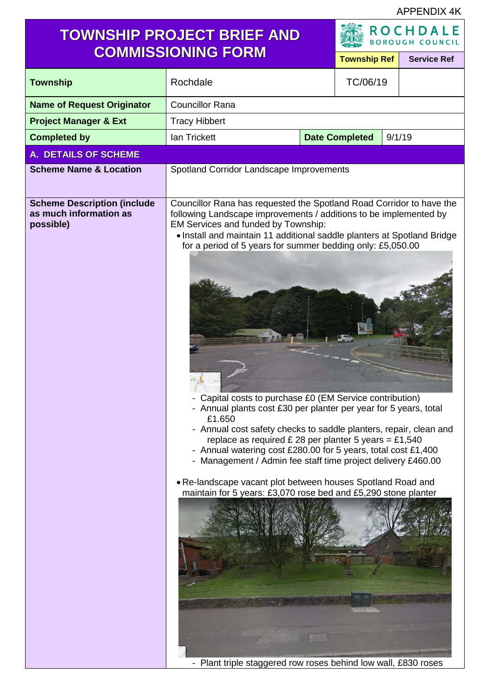APPENDIX 4K

# **TOWNSHIP PROJECT BRIEF AND**

ADA

|                                                                           | <b>COMMISSIONING FORM</b>                                                                                                                                                                                                                                                                                                                                                                                                                                                                                                                                                                                                                                                                                                                                                                                                                                                                                                           |                                 | <b>Township Ref</b> |  | <b>Service Ref</b> |
|---------------------------------------------------------------------------|-------------------------------------------------------------------------------------------------------------------------------------------------------------------------------------------------------------------------------------------------------------------------------------------------------------------------------------------------------------------------------------------------------------------------------------------------------------------------------------------------------------------------------------------------------------------------------------------------------------------------------------------------------------------------------------------------------------------------------------------------------------------------------------------------------------------------------------------------------------------------------------------------------------------------------------|---------------------------------|---------------------|--|--------------------|
| <b>Township</b>                                                           | Rochdale                                                                                                                                                                                                                                                                                                                                                                                                                                                                                                                                                                                                                                                                                                                                                                                                                                                                                                                            |                                 | TC/06/19            |  |                    |
| <b>Name of Request Originator</b>                                         | <b>Councillor Rana</b>                                                                                                                                                                                                                                                                                                                                                                                                                                                                                                                                                                                                                                                                                                                                                                                                                                                                                                              |                                 |                     |  |                    |
| <b>Project Manager &amp; Ext</b>                                          | <b>Tracy Hibbert</b>                                                                                                                                                                                                                                                                                                                                                                                                                                                                                                                                                                                                                                                                                                                                                                                                                                                                                                                |                                 |                     |  |                    |
| <b>Completed by</b>                                                       | lan Trickett                                                                                                                                                                                                                                                                                                                                                                                                                                                                                                                                                                                                                                                                                                                                                                                                                                                                                                                        | <b>Date Completed</b><br>9/1/19 |                     |  |                    |
| <b>A. DETAILS OF SCHEME</b>                                               |                                                                                                                                                                                                                                                                                                                                                                                                                                                                                                                                                                                                                                                                                                                                                                                                                                                                                                                                     |                                 |                     |  |                    |
| <b>Scheme Name &amp; Location</b>                                         | Spotland Corridor Landscape Improvements                                                                                                                                                                                                                                                                                                                                                                                                                                                                                                                                                                                                                                                                                                                                                                                                                                                                                            |                                 |                     |  |                    |
| <b>Scheme Description (include</b><br>as much information as<br>possible) | Councillor Rana has requested the Spotland Road Corridor to have the<br>following Landscape improvements / additions to be implemented by<br>EM Services and funded by Township:<br>· Install and maintain 11 additional saddle planters at Spotland Bridge<br>for a period of 5 years for summer bedding only: £5,050.00<br>Capital costs to purchase £0 (EM Service contribution)<br>- Annual plants cost £30 per planter per year for 5 years, total<br>£1.650<br>- Annual cost safety checks to saddle planters, repair, clean and<br>replace as required £ 28 per planter 5 years = £1,540<br>- Annual watering cost £280.00 for 5 years, total cost £1,400<br>- Management / Admin fee staff time project delivery £460.00<br>. Re-landscape vacant plot between houses Spotland Road and<br>maintain for 5 years: £3,070 rose bed and £5,290 stone planter<br>- Plant triple staggered row roses behind low wall, £830 roses |                                 |                     |  |                    |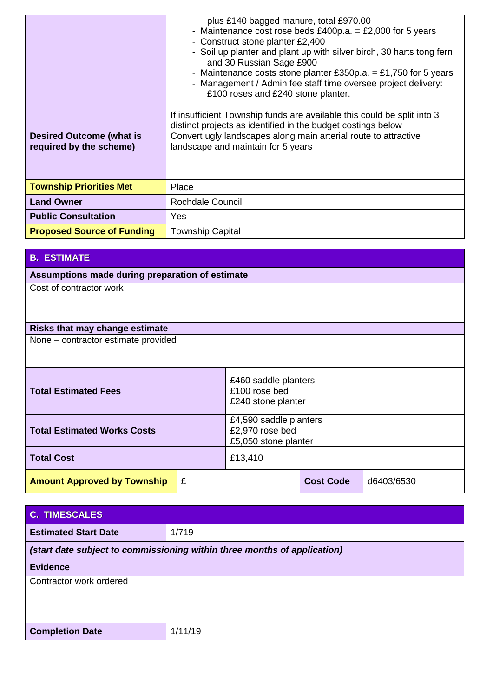| <b>Desired Outcome (what is</b><br>required by the scheme) | plus £140 bagged manure, total £970.00<br>- Maintenance cost rose beds £400p.a. = £2,000 for 5 years<br>- Construct stone planter £2,400<br>- Soil up planter and plant up with silver birch, 30 harts tong fern<br>and 30 Russian Sage £900<br>- Maintenance costs stone planter £350p.a. = £1,750 for 5 years<br>- Management / Admin fee staff time oversee project delivery:<br>£100 roses and £240 stone planter.<br>If insufficient Township funds are available this could be split into 3<br>distinct projects as identified in the budget costings below<br>Convert ugly landscapes along main arterial route to attractive<br>landscape and maintain for 5 years |
|------------------------------------------------------------|----------------------------------------------------------------------------------------------------------------------------------------------------------------------------------------------------------------------------------------------------------------------------------------------------------------------------------------------------------------------------------------------------------------------------------------------------------------------------------------------------------------------------------------------------------------------------------------------------------------------------------------------------------------------------|
| <b>Township Priorities Met</b>                             | Place                                                                                                                                                                                                                                                                                                                                                                                                                                                                                                                                                                                                                                                                      |
| <b>Land Owner</b>                                          | Rochdale Council                                                                                                                                                                                                                                                                                                                                                                                                                                                                                                                                                                                                                                                           |
| <b>Public Consultation</b>                                 | Yes.                                                                                                                                                                                                                                                                                                                                                                                                                                                                                                                                                                                                                                                                       |
| <b>Proposed Source of Funding</b>                          | <b>Township Capital</b>                                                                                                                                                                                                                                                                                                                                                                                                                                                                                                                                                                                                                                                    |

## **B. ESTIMATE**

**Assumptions made during preparation of estimate**

Cost of contractor work

#### **Risks that may change estimate**

None – contractor estimate provided

| <b>Total Estimated Fees</b>        |   | £460 saddle planters<br>£100 rose bed<br>£240 stone planter       |                  |            |  |
|------------------------------------|---|-------------------------------------------------------------------|------------------|------------|--|
| <b>Total Estimated Works Costs</b> |   | £4,590 saddle planters<br>£2,970 rose bed<br>£5,050 stone planter |                  |            |  |
| <b>Total Cost</b>                  |   | £13,410                                                           |                  |            |  |
| <b>Amount Approved by Township</b> | £ |                                                                   | <b>Cost Code</b> | d6403/6530 |  |

| <b>C. TIMESCALES</b>                                                     |         |  |
|--------------------------------------------------------------------------|---------|--|
| <b>Estimated Start Date</b>                                              | 1/719   |  |
| (start date subject to commissioning within three months of application) |         |  |
| <b>Evidence</b>                                                          |         |  |
| Contractor work ordered                                                  |         |  |
|                                                                          |         |  |
|                                                                          |         |  |
| <b>Completion Date</b>                                                   | 1/11/19 |  |